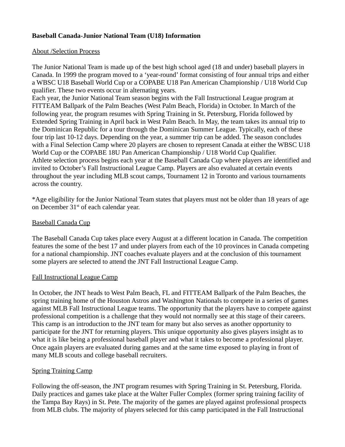# **Baseball Canada-Junior National Team (U18) Information**

#### About /Selection Process

The Junior National Team is made up of the best high school aged (18 and under) baseball players in Canada. In 1999 the program moved to a 'year-round' format consisting of four annual trips and either a WBSC U18 Baseball World Cup or a COPABE U18 Pan American Championship / U18 World Cup qualifier. These two events occur in alternating years.

Each year, the Junior National Team season begins with the Fall Instructional League program at FITTEAM Ballpark of the Palm Beaches (West Palm Beach, Florida) in October. In March of the following year, the program resumes with Spring Training in St. Petersburg, Florida followed by Extended Spring Training in April back in West Palm Beach. In May, the team takes its annual trip to the Dominican Republic for a tour through the Dominican Summer League. Typically, each of these four trip last 10-12 days. Depending on the year, a summer trip can be added. The season concludes with a Final Selection Camp where 20 players are chosen to represent Canada at either the WBSC U18 World Cup or the COPABE 18U Pan American Championship / U18 World Cup Qualifier. Athlete selection process begins each year at the Baseball Canada Cup where players are identified and invited to October's Fall Instructional League Camp. Players are also evaluated at certain events throughout the year including MLB scout camps, Tournament 12 in Toronto and various tournaments across the country.

\*Age eligibility for the Junior National Team states that players must not be older than 18 years of age on December 31<sup>st</sup> of each calendar year.

### Baseball Canada Cup

The Baseball Canada Cup takes place every August at a different location in Canada. The competition features the some of the best 17 and under players from each of the 10 provinces in Canada competing for a national championship. JNT coaches evaluate players and at the conclusion of this tournament some players are selected to attend the JNT Fall Instructional League Camp.

### Fall Instructional League Camp

In October, the JNT heads to West Palm Beach, FL and FITTEAM Ballpark of the Palm Beaches, the spring training home of the Houston Astros and Washington Nationals to compete in a series of games against MLB Fall Instructional League teams. The opportunity that the players have to compete against professional competition is a challenge that they would not normally see at this stage of their careers. This camp is an introduction to the JNT team for many but also serves as another opportunity to participate for the JNT for returning players. This unique opportunity also gives players insight as to what it is like being a professional baseball player and what it takes to become a professional player. Once again players are evaluated during games and at the same time exposed to playing in front of many MLB scouts and college baseball recruiters.

### Spring Training Camp

Following the off-season, the JNT program resumes with Spring Training in St. Petersburg, Florida. Daily practices and games take place at the Walter Fuller Complex (former spring training facility of the Tampa Bay Rays) in St. Pete. The majority of the games are played against professional prospects from MLB clubs. The majority of players selected for this camp participated in the Fall Instructional